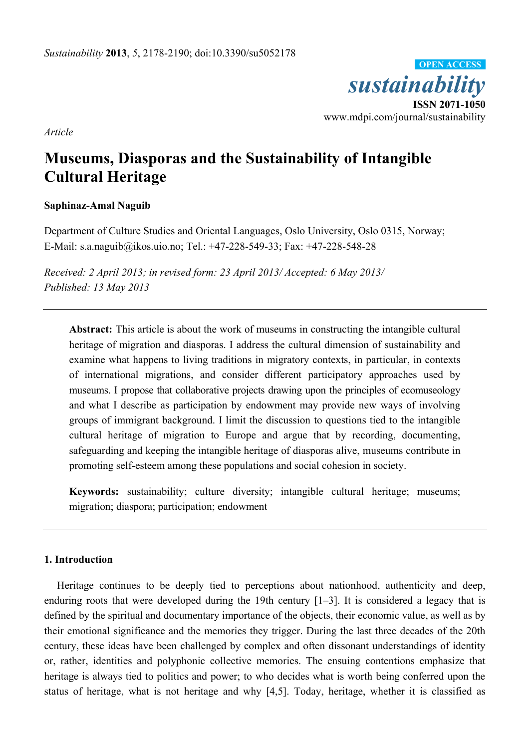

*Article*

# **Museums, Diasporas and the Sustainability of Intangible Cultural Heritage**

# **Saphinaz-Amal Naguib**

Department of Culture Studies and Oriental Languages, Oslo University, Oslo 0315, Norway; E-Mail: s.a.naguib@ikos.uio.no; Tel.: +47-228-549-33; Fax: +47-228-548-28

*Received: 2 April 2013; in revised form: 23 April 2013/ Accepted: 6 May 2013/ Published: 13 May 2013*

**Abstract:** This article is about the work of museums in constructing the intangible cultural heritage of migration and diasporas. I address the cultural dimension of sustainability and examine what happens to living traditions in migratory contexts, in particular, in contexts of international migrations, and consider different participatory approaches used by museums. I propose that collaborative projects drawing upon the principles of ecomuseology and what I describe as participation by endowment may provide new ways of involving groups of immigrant background. I limit the discussion to questions tied to the intangible cultural heritage of migration to Europe and argue that by recording, documenting, safeguarding and keeping the intangible heritage of diasporas alive, museums contribute in promoting self-esteem among these populations and social cohesion in society.

**Keywords:** sustainability; culture diversity; intangible cultural heritage; museums; migration; diaspora; participation; endowment

## **1. Introduction**

Heritage continues to be deeply tied to perceptions about nationhood, authenticity and deep, enduring roots that were developed during the 19th century [1–3]. It is considered a legacy that is defined by the spiritual and documentary importance of the objects, their economic value, as well as by their emotional significance and the memories they trigger. During the last three decades of the 20th century, these ideas have been challenged by complex and often dissonant understandings of identity or, rather, identities and polyphonic collective memories. The ensuing contentions emphasize that heritage is always tied to politics and power; to who decides what is worth being conferred upon the status of heritage, what is not heritage and why [4,5]. Today, heritage, whether it is classified as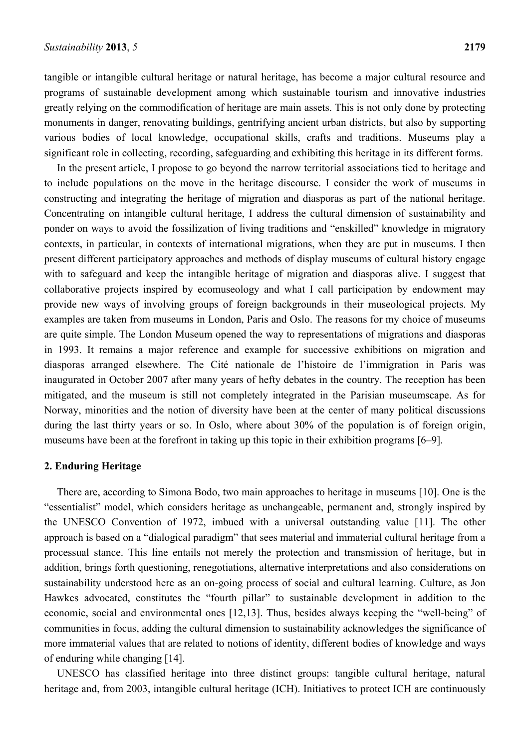tangible or intangible cultural heritage or natural heritage, has become a major cultural resource and programs of sustainable development among which sustainable tourism and innovative industries greatly relying on the commodification of heritage are main assets. This is not only done by protecting monuments in danger, renovating buildings, gentrifying ancient urban districts, but also by supporting various bodies of local knowledge, occupational skills, crafts and traditions. Museums play a significant role in collecting, recording, safeguarding and exhibiting this heritage in its different forms.

In the present article, I propose to go beyond the narrow territorial associations tied to heritage and to include populations on the move in the heritage discourse. I consider the work of museums in constructing and integrating the heritage of migration and diasporas as part of the national heritage. Concentrating on intangible cultural heritage, I address the cultural dimension of sustainability and ponder on ways to avoid the fossilization of living traditions and "enskilled" knowledge in migratory contexts, in particular, in contexts of international migrations, when they are put in museums. I then present different participatory approaches and methods of display museums of cultural history engage with to safeguard and keep the intangible heritage of migration and diasporas alive. I suggest that collaborative projects inspired by ecomuseology and what I call participation by endowment may provide new ways of involving groups of foreign backgrounds in their museological projects. My examples are taken from museums in London, Paris and Oslo. The reasons for my choice of museums are quite simple. The London Museum opened the way to representations of migrations and diasporas in 1993. It remains a major reference and example for successive exhibitions on migration and diasporas arranged elsewhere. The Cité nationale de l'histoire de l'immigration in Paris was inaugurated in October 2007 after many years of hefty debates in the country. The reception has been mitigated, and the museum is still not completely integrated in the Parisian museumscape. As for Norway, minorities and the notion of diversity have been at the center of many political discussions during the last thirty years or so. In Oslo, where about 30% of the population is of foreign origin, museums have been at the forefront in taking up this topic in their exhibition programs [6–9].

## **2. Enduring Heritage**

There are, according to Simona Bodo, two main approaches to heritage in museums [10]. One is the "essentialist" model, which considers heritage as unchangeable, permanent and, strongly inspired by the UNESCO Convention of 1972, imbued with a universal outstanding value [11]. The other approach is based on a "dialogical paradigm" that sees material and immaterial cultural heritage from a processual stance. This line entails not merely the protection and transmission of heritage, but in addition, brings forth questioning, renegotiations, alternative interpretations and also considerations on sustainability understood here as an on-going process of social and cultural learning. Culture, as Jon Hawkes advocated, constitutes the "fourth pillar" to sustainable development in addition to the economic, social and environmental ones [12,13]. Thus, besides always keeping the "well-being" of communities in focus, adding the cultural dimension to sustainability acknowledges the significance of more immaterial values that are related to notions of identity, different bodies of knowledge and ways of enduring while changing [14].

UNESCO has classified heritage into three distinct groups: tangible cultural heritage, natural heritage and, from 2003, intangible cultural heritage (ICH). Initiatives to protect ICH are continuously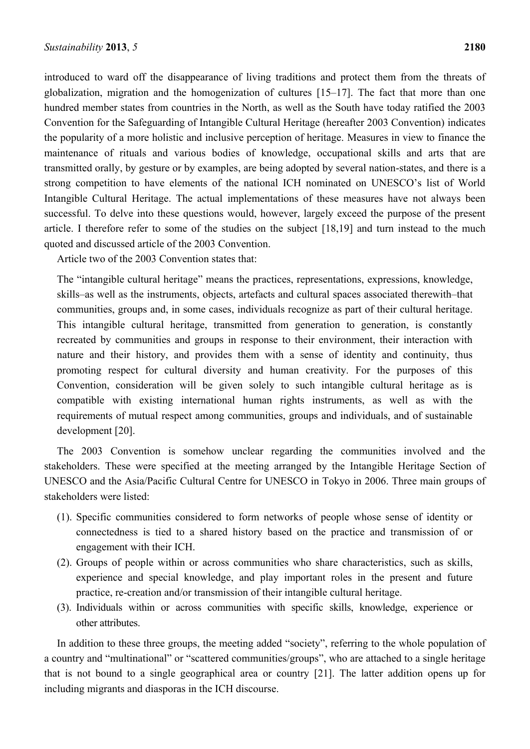introduced to ward off the disappearance of living traditions and protect them from the threats of globalization, migration and the homogenization of cultures [15–17]. The fact that more than one hundred member states from countries in the North, as well as the South have today ratified the 2003 Convention for the Safeguarding of Intangible Cultural Heritage (hereafter 2003 Convention) indicates the popularity of a more holistic and inclusive perception of heritage. Measures in view to finance the maintenance of rituals and various bodies of knowledge, occupational skills and arts that are transmitted orally, by gesture or by examples, are being adopted by several nation-states, and there is a strong competition to have elements of the national ICH nominated on UNESCO's list of World Intangible Cultural Heritage. The actual implementations of these measures have not always been successful. To delve into these questions would, however, largely exceed the purpose of the present article. I therefore refer to some of the studies on the subject [18,19] and turn instead to the much quoted and discussed article of the 2003 Convention.

Article two of the 2003 Convention states that:

The "intangible cultural heritage" means the practices, representations, expressions, knowledge, skills–as well as the instruments, objects, artefacts and cultural spaces associated therewith–that communities, groups and, in some cases, individuals recognize as part of their cultural heritage. This intangible cultural heritage, transmitted from generation to generation, is constantly recreated by communities and groups in response to their environment, their interaction with nature and their history, and provides them with a sense of identity and continuity, thus promoting respect for cultural diversity and human creativity. For the purposes of this Convention, consideration will be given solely to such intangible cultural heritage as is compatible with existing international human rights instruments, as well as with the requirements of mutual respect among communities, groups and individuals, and of sustainable development [20].

The 2003 Convention is somehow unclear regarding the communities involved and the stakeholders. These were specified at the meeting arranged by the Intangible Heritage Section of UNESCO and the Asia/Pacific Cultural Centre for UNESCO in Tokyo in 2006. Three main groups of stakeholders were listed:

- (1). Specific communities considered to form networks of people whose sense of identity or connectedness is tied to a shared history based on the practice and transmission of or engagement with their ICH.
- (2). Groups of people within or across communities who share characteristics, such as skills, experience and special knowledge, and play important roles in the present and future practice, re-creation and/or transmission of their intangible cultural heritage.
- (3). Individuals within or across communities with specific skills, knowledge, experience or other attributes.

In addition to these three groups, the meeting added "society", referring to the whole population of a country and "multinational" or "scattered communities/groups", who are attached to a single heritage that is not bound to a single geographical area or country [21]. The latter addition opens up for including migrants and diasporas in the ICH discourse.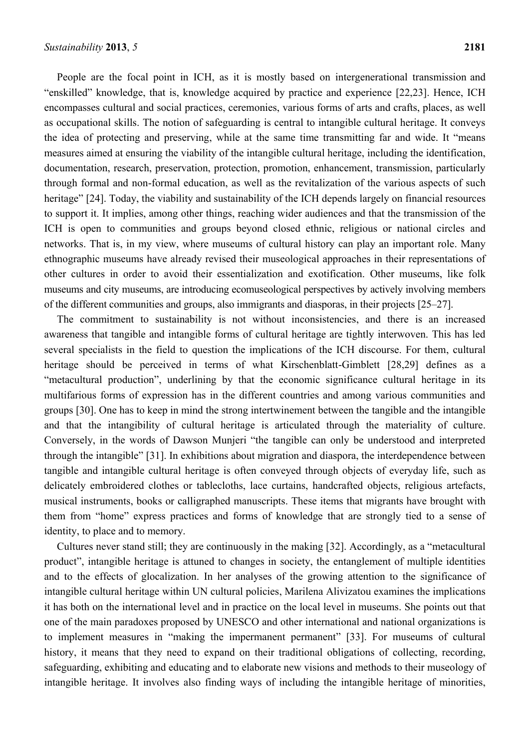People are the focal point in ICH, as it is mostly based on intergenerational transmission and "enskilled" knowledge, that is, knowledge acquired by practice and experience [22,23]. Hence, ICH encompasses cultural and social practices, ceremonies, various forms of arts and crafts, places, as well as occupational skills. The notion of safeguarding is central to intangible cultural heritage. It conveys the idea of protecting and preserving, while at the same time transmitting far and wide. It "means" measures aimed at ensuring the viability of the intangible cultural heritage, including the identification, documentation, research, preservation, protection, promotion, enhancement, transmission, particularly through formal and non-formal education, as well as the revitalization of the various aspects of such heritage" [24]. Today, the viability and sustainability of the ICH depends largely on financial resources to support it. It implies, among other things, reaching wider audiences and that the transmission of the ICH is open to communities and groups beyond closed ethnic, religious or national circles and networks. That is, in my view, where museums of cultural history can play an important role. Many ethnographic museums have already revised their museological approaches in their representations of other cultures in order to avoid their essentialization and exotification. Other museums, like folk museums and city museums, are introducing ecomuseological perspectives by actively involving members of the different communities and groups, also immigrants and diasporas, in their projects [25–27].

The commitment to sustainability is not without inconsistencies, and there is an increased awareness that tangible and intangible forms of cultural heritage are tightly interwoven. This has led several specialists in the field to question the implications of the ICH discourse. For them, cultural heritage should be perceived in terms of what Kirschenblatt-Gimblett [28,29] defines as a "metacultural production", underlining by that the economic significance cultural heritage in its multifarious forms of expression has in the different countries and among various communities and groups [30]. One has to keep in mind the strong intertwinement between the tangible and the intangible and that the intangibility of cultural heritage is articulated through the materiality of culture. Conversely, in the words of Dawson Munjeri "the tangible can only be understood and interpreted through the intangible" [31]. In exhibitions about migration and diaspora, the interdependence between tangible and intangible cultural heritage is often conveyed through objects of everyday life, such as delicately embroidered clothes or tablecloths, lace curtains, handcrafted objects, religious artefacts, musical instruments, books or calligraphed manuscripts. These items that migrants have brought with them from "home" express practices and forms of knowledge that are strongly tied to a sense of identity, to place and to memory.

Cultures never stand still; they are continuously in the making [32]. Accordingly, as a "metacultural" product", intangible heritage is attuned to changes in society, the entanglement of multiple identities and to the effects of glocalization. In her analyses of the growing attention to the significance of intangible cultural heritage within UN cultural policies, Marilena Alivizatou examines the implications it has both on the international level and in practice on the local level in museums. She points out that one of the main paradoxes proposed by UNESCO and other international and national organizations is to implement measures in "making the impermanent permanent" [33]. For museums of cultural history, it means that they need to expand on their traditional obligations of collecting, recording, safeguarding, exhibiting and educating and to elaborate new visions and methods to their museology of intangible heritage. It involves also finding ways of including the intangible heritage of minorities,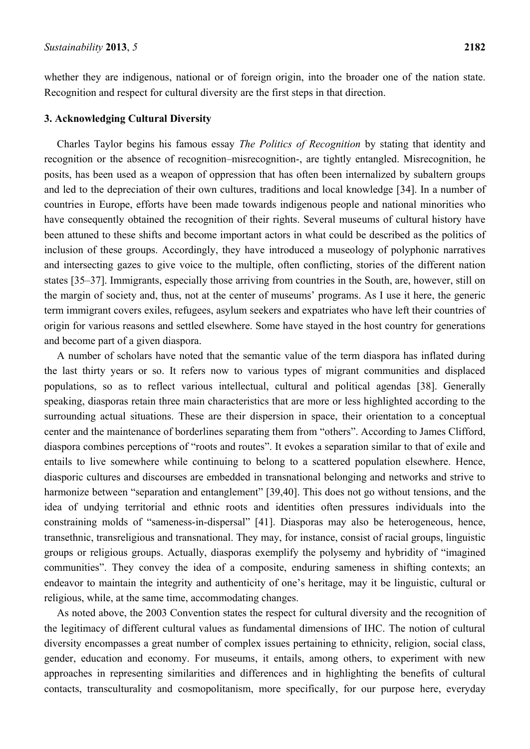whether they are indigenous, national or of foreign origin, into the broader one of the nation state. Recognition and respect for cultural diversity are the first steps in that direction.

#### **3. Acknowledging Cultural Diversity**

Charles Taylor begins his famous essay *The Politics of Recognition* by stating that identity and recognition or the absence of recognition–misrecognition-, are tightly entangled. Misrecognition, he posits, has been used as a weapon of oppression that has often been internalized by subaltern groups and led to the depreciation of their own cultures, traditions and local knowledge [34]. In a number of countries in Europe, efforts have been made towards indigenous people and national minorities who have consequently obtained the recognition of their rights. Several museums of cultural history have been attuned to these shifts and become important actors in what could be described as the politics of inclusion of these groups. Accordingly, they have introduced a museology of polyphonic narratives and intersecting gazes to give voice to the multiple, often conflicting, stories of the different nation states [35–37]. Immigrants, especially those arriving from countries in the South, are, however, still on the margin of society and, thus, not at the center of museums' programs. As I use it here, the generic term immigrant covers exiles, refugees, asylum seekers and expatriates who have left their countries of origin for various reasons and settled elsewhere. Some have stayed in the host country for generations and become part of a given diaspora.

A number of scholars have noted that the semantic value of the term diaspora has inflated during the last thirty years or so. It refers now to various types of migrant communities and displaced populations, so as to reflect various intellectual, cultural and political agendas [38]. Generally speaking, diasporas retain three main characteristics that are more or less highlighted according to the surrounding actual situations. These are their dispersion in space, their orientation to a conceptual center and the maintenance of borderlines separating them from "others". According to James Clifford, diaspora combines perceptions of "roots and routes". It evokes a separation similar to that of exile and entails to live somewhere while continuing to belong to a scattered population elsewhere. Hence, diasporic cultures and discourses are embedded in transnational belonging and networks and strive to harmonize between "separation and entanglement" [39,40]. This does not go without tensions, and the idea of undying territorial and ethnic roots and identities often pressures individuals into the constraining molds of "sameness-in-dispersal" [41]. Diasporas may also be heterogeneous, hence, transethnic, transreligious and transnational. They may, for instance, consist of racial groups, linguistic groups or religious groups. Actually, diasporas exemplify the polysemy and hybridity of "imagined" communities". They convey the idea of a composite, enduring sameness in shifting contexts; an endeavor to maintain the integrity and authenticity of one's heritage, may it be linguistic, cultural or religious, while, at the same time, accommodating changes.

As noted above, the 2003 Convention states the respect for cultural diversity and the recognition of the legitimacy of different cultural values as fundamental dimensions of IHC. The notion of cultural diversity encompasses a great number of complex issues pertaining to ethnicity, religion, social class, gender, education and economy. For museums, it entails, among others, to experiment with new approaches in representing similarities and differences and in highlighting the benefits of cultural contacts, transculturality and cosmopolitanism, more specifically, for our purpose here, everyday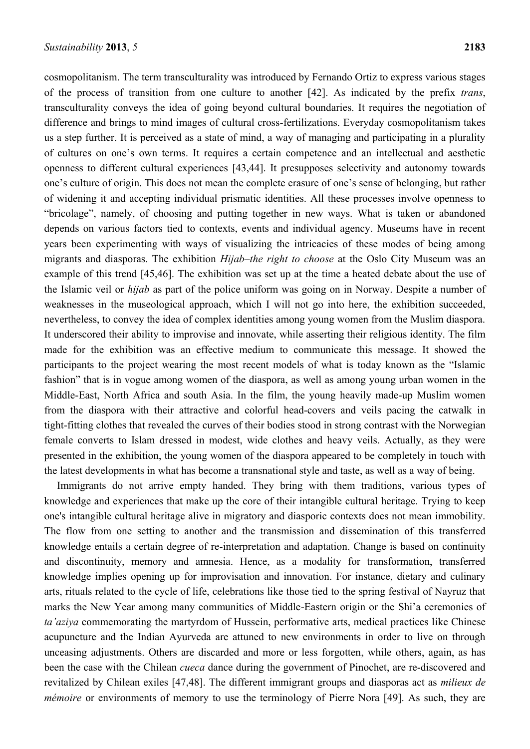cosmopolitanism. The term transculturality was introduced by Fernando Ortiz to express various stages of the process of transition from one culture to another [42]. As indicated by the prefix *trans*, transculturality conveys the idea of going beyond cultural boundaries. It requires the negotiation of difference and brings to mind images of cultural cross-fertilizations. Everyday cosmopolitanism takes us a step further. It is perceived as a state of mind, a way of managing and participating in a plurality of cultures on one's own terms. It requires a certain competence and an intellectual and aesthetic openness to different cultural experiences [43,44]. It presupposes selectivity and autonomy towards one's culture of origin. This does not mean the complete erasure of one's sense of belonging, but rather of widening it and accepting individual prismatic identities. All these processes involve openness to "bricolage", namely, of choosing and putting together in new ways. What is taken or abandoned depends on various factors tied to contexts, events and individual agency. Museums have in recent years been experimenting with ways of visualizing the intricacies of these modes of being among migrants and diasporas. The exhibition *Hijab–the right to choose* at the Oslo City Museum was an example of this trend [45,46]. The exhibition was set up at the time a heated debate about the use of the Islamic veil or *hijab* as part of the police uniform was going on in Norway. Despite a number of weaknesses in the museological approach, which I will not go into here, the exhibition succeeded, nevertheless, to convey the idea of complex identities among young women from the Muslim diaspora. It underscored their ability to improvise and innovate, while asserting their religious identity. The film made for the exhibition was an effective medium to communicate this message. It showed the participants to the project wearing the most recent models of what is today known as the "Islamic fashion" that is in vogue among women of the diaspora, as well as among young urban women in the Middle-East, North Africa and south Asia. In the film, the young heavily made-up Muslim women from the diaspora with their attractive and colorful head-covers and veils pacing the catwalk in tight-fitting clothes that revealed the curves of their bodies stood in strong contrast with the Norwegian female converts to Islam dressed in modest, wide clothes and heavy veils. Actually, as they were presented in the exhibition, the young women of the diaspora appeared to be completely in touch with the latest developments in what has become a transnational style and taste, as well as a way of being.

Immigrants do not arrive empty handed. They bring with them traditions, various types of knowledge and experiences that make up the core of their intangible cultural heritage. Trying to keep one's intangible cultural heritage alive in migratory and diasporic contexts does not mean immobility. The flow from one setting to another and the transmission and dissemination of this transferred knowledge entails a certain degree of re-interpretation and adaptation. Change is based on continuity and discontinuity, memory and amnesia. Hence, as a modality for transformation, transferred knowledge implies opening up for improvisation and innovation. For instance, dietary and culinary arts, rituals related to the cycle of life, celebrations like those tied to the spring festival of Nayruz that marks the New Year among many communities of Middle-Eastern origin or the Shi'a ceremonies of *ta'aziya* commemorating the martyrdom of Hussein, performative arts, medical practices like Chinese acupuncture and the Indian Ayurveda are attuned to new environments in order to live on through unceasing adjustments. Others are discarded and more or less forgotten, while others, again, as has been the case with the Chilean *cueca* dance during the government of Pinochet, are re-discovered and revitalized by Chilean exiles [47,48]. The different immigrant groups and diasporas act as *milieux de mémoire* or environments of memory to use the terminology of Pierre Nora [49]. As such, they are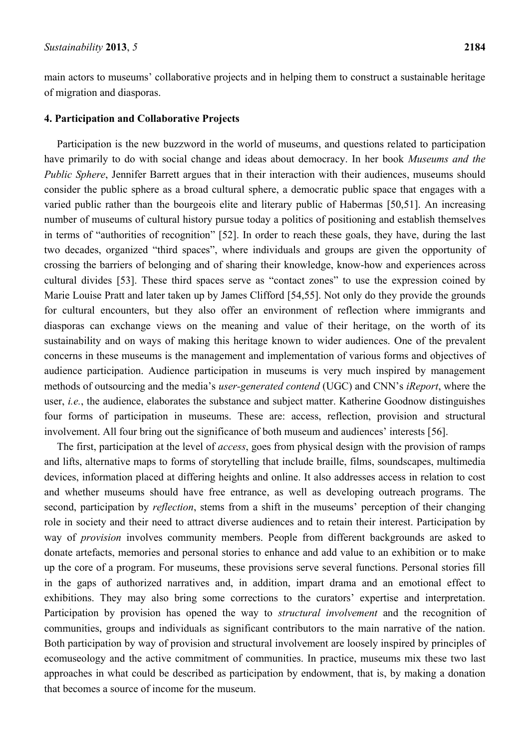main actors to museums' collaborative projects and in helping them to construct a sustainable heritage of migration and diasporas.

## **4. Participation and Collaborative Projects**

Participation is the new buzzword in the world of museums, and questions related to participation have primarily to do with social change and ideas about democracy. In her book *Museums and the Public Sphere*, Jennifer Barrett argues that in their interaction with their audiences, museums should consider the public sphere as a broad cultural sphere, a democratic public space that engages with a varied public rather than the bourgeois elite and literary public of Habermas [50,51]. An increasing number of museums of cultural history pursue today a politics of positioning and establish themselves in terms of "authorities of recognition" [52]. In order to reach these goals, they have, during the last two decades, organized "third spaces", where individuals and groups are given the opportunity of crossing the barriers of belonging and of sharing their knowledge, know-how and experiences across cultural divides [53]. These third spaces serve as "contact zones" to use the expression coined by Marie Louise Pratt and later taken up by James Clifford [54,55]. Not only do they provide the grounds for cultural encounters, but they also offer an environment of reflection where immigrants and diasporas can exchange views on the meaning and value of their heritage, on the worth of its sustainability and on ways of making this heritage known to wider audiences. One of the prevalent concerns in these museums is the management and implementation of various forms and objectives of audience participation. Audience participation in museums is very much inspired by management methods of outsourcing and the media's *user-generated contend* (UGC) and CNN's *iReport*, where the user, *i.e.*, the audience, elaborates the substance and subject matter. Katherine Goodnow distinguishes four forms of participation in museums. These are: access, reflection, provision and structural involvement. All four bring out the significance of both museum and audiences' interests [56].

The first, participation at the level of *access*, goes from physical design with the provision of ramps and lifts, alternative maps to forms of storytelling that include braille, films, soundscapes, multimedia devices, information placed at differing heights and online. It also addresses access in relation to cost and whether museums should have free entrance, as well as developing outreach programs. The second, participation by *reflection*, stems from a shift in the museums' perception of their changing role in society and their need to attract diverse audiences and to retain their interest. Participation by way of *provision* involves community members. People from different backgrounds are asked to donate artefacts, memories and personal stories to enhance and add value to an exhibition or to make up the core of a program. For museums, these provisions serve several functions. Personal stories fill in the gaps of authorized narratives and, in addition, impart drama and an emotional effect to exhibitions. They may also bring some corrections to the curators' expertise and interpretation. Participation by provision has opened the way to *structural involvement* and the recognition of communities, groups and individuals as significant contributors to the main narrative of the nation. Both participation by way of provision and structural involvement are loosely inspired by principles of ecomuseology and the active commitment of communities. In practice, museums mix these two last approaches in what could be described as participation by endowment, that is, by making a donation that becomes a source of income for the museum.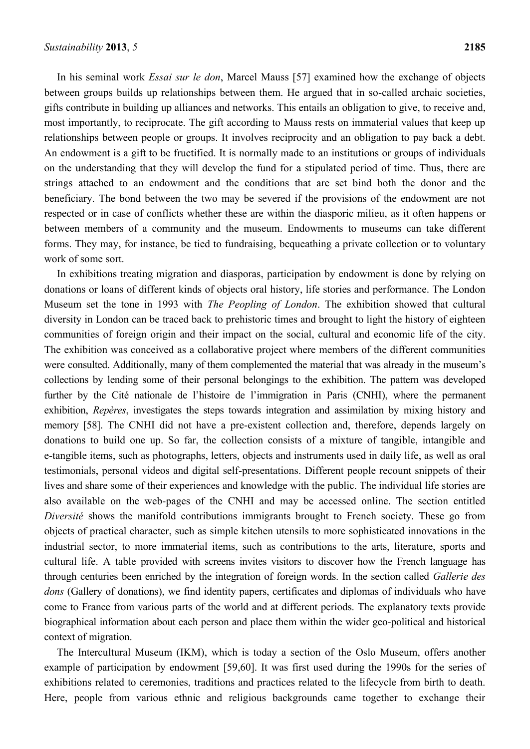In his seminal work *Essai sur le don*, Marcel Mauss [57] examined how the exchange of objects between groups builds up relationships between them. He argued that in so-called archaic societies, gifts contribute in building up alliances and networks. This entails an obligation to give, to receive and, most importantly, to reciprocate. The gift according to Mauss rests on immaterial values that keep up relationships between people or groups. It involves reciprocity and an obligation to pay back a debt. An endowment is a gift to be fructified. It is normally made to an institutions or groups of individuals on the understanding that they will develop the fund for a stipulated period of time. Thus, there are strings attached to an endowment and the conditions that are set bind both the donor and the beneficiary. The bond between the two may be severed if the provisions of the endowment are not respected or in case of conflicts whether these are within the diasporic milieu, as it often happens or between members of a community and the museum. Endowments to museums can take different forms. They may, for instance, be tied to fundraising, bequeathing a private collection or to voluntary work of some sort.

In exhibitions treating migration and diasporas, participation by endowment is done by relying on donations or loans of different kinds of objects oral history, life stories and performance. The London Museum set the tone in 1993 with *The Peopling of London*. The exhibition showed that cultural diversity in London can be traced back to prehistoric times and brought to light the history of eighteen communities of foreign origin and their impact on the social, cultural and economic life of the city. The exhibition was conceived as a collaborative project where members of the different communities were consulted. Additionally, many of them complemented the material that was already in the museum's collections by lending some of their personal belongings to the exhibition. The pattern was developed further by the Cité nationale de l'histoire de l'immigration in Paris (CNHI), where the permanent exhibition, *Repères*, investigates the steps towards integration and assimilation by mixing history and memory [58]. The CNHI did not have a pre-existent collection and, therefore, depends largely on donations to build one up. So far, the collection consists of a mixture of tangible, intangible and e-tangible items, such as photographs, letters, objects and instruments used in daily life, as well as oral testimonials, personal videos and digital self-presentations. Different people recount snippets of their lives and share some of their experiences and knowledge with the public. The individual life stories are also available on the web-pages of the CNHI and may be accessed online. The section entitled *Diversité* shows the manifold contributions immigrants brought to French society. These go from objects of practical character, such as simple kitchen utensils to more sophisticated innovations in the industrial sector, to more immaterial items, such as contributions to the arts, literature, sports and cultural life. A table provided with screens invites visitors to discover how the French language has through centuries been enriched by the integration of foreign words. In the section called *Gallerie des dons* (Gallery of donations), we find identity papers, certificates and diplomas of individuals who have come to France from various parts of the world and at different periods. The explanatory texts provide biographical information about each person and place them within the wider geo-political and historical context of migration.

The Intercultural Museum (IKM), which is today a section of the Oslo Museum, offers another example of participation by endowment [59,60]. It was first used during the 1990s for the series of exhibitions related to ceremonies, traditions and practices related to the lifecycle from birth to death. Here, people from various ethnic and religious backgrounds came together to exchange their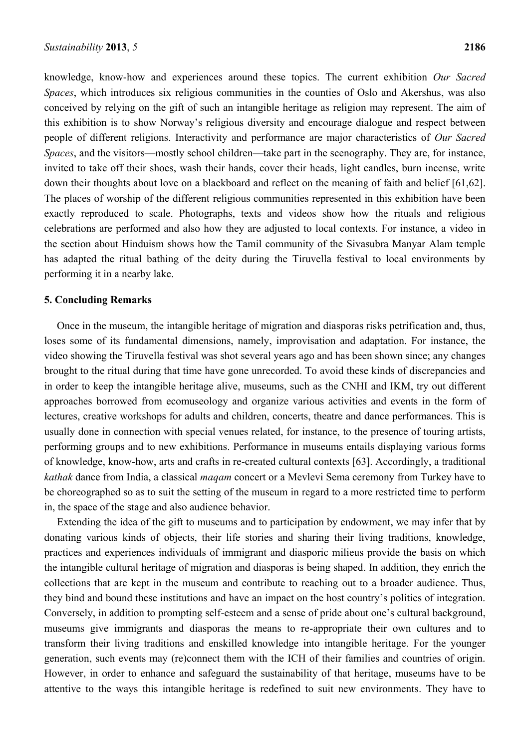knowledge, know-how and experiences around these topics. The current exhibition *Our Sacred Spaces*, which introduces six religious communities in the counties of Oslo and Akershus, was also conceived by relying on the gift of such an intangible heritage as religion may represent. The aim of this exhibition is to show Norway's religious diversity and encourage dialogue and respect between people of different religions. Interactivity and performance are major characteristics of *Our Sacred Spaces*, and the visitors—mostly school children—take part in the scenography. They are, for instance, invited to take off their shoes, wash their hands, cover their heads, light candles, burn incense, write down their thoughts about love on a blackboard and reflect on the meaning of faith and belief [61,62]. The places of worship of the different religious communities represented in this exhibition have been exactly reproduced to scale. Photographs, texts and videos show how the rituals and religious celebrations are performed and also how they are adjusted to local contexts. For instance, a video in the section about Hinduism shows how the Tamil community of the Sivasubra Manyar Alam temple has adapted the ritual bathing of the deity during the Tiruvella festival to local environments by performing it in a nearby lake.

## **5. Concluding Remarks**

Once in the museum, the intangible heritage of migration and diasporas risks petrification and, thus, loses some of its fundamental dimensions, namely, improvisation and adaptation. For instance, the video showing the Tiruvella festival was shot several years ago and has been shown since; any changes brought to the ritual during that time have gone unrecorded. To avoid these kinds of discrepancies and in order to keep the intangible heritage alive, museums, such as the CNHI and IKM, try out different approaches borrowed from ecomuseology and organize various activities and events in the form of lectures, creative workshops for adults and children, concerts, theatre and dance performances. This is usually done in connection with special venues related, for instance, to the presence of touring artists, performing groups and to new exhibitions. Performance in museums entails displaying various forms of knowledge, know-how, arts and crafts in re-created cultural contexts [63]. Accordingly, a traditional *kathak* dance from India, a classical *maqam* concert or a Mevlevi Sema ceremony from Turkey have to be choreographed so as to suit the setting of the museum in regard to a more restricted time to perform in, the space of the stage and also audience behavior.

Extending the idea of the gift to museums and to participation by endowment, we may infer that by donating various kinds of objects, their life stories and sharing their living traditions, knowledge, practices and experiences individuals of immigrant and diasporic milieus provide the basis on which the intangible cultural heritage of migration and diasporas is being shaped. In addition, they enrich the collections that are kept in the museum and contribute to reaching out to a broader audience. Thus, they bind and bound these institutions and have an impact on the host country's politics of integration. Conversely, in addition to prompting self-esteem and a sense of pride about one's cultural background, museums give immigrants and diasporas the means to re-appropriate their own cultures and to transform their living traditions and enskilled knowledge into intangible heritage. For the younger generation, such events may (re)connect them with the ICH of their families and countries of origin. However, in order to enhance and safeguard the sustainability of that heritage, museums have to be attentive to the ways this intangible heritage is redefined to suit new environments. They have to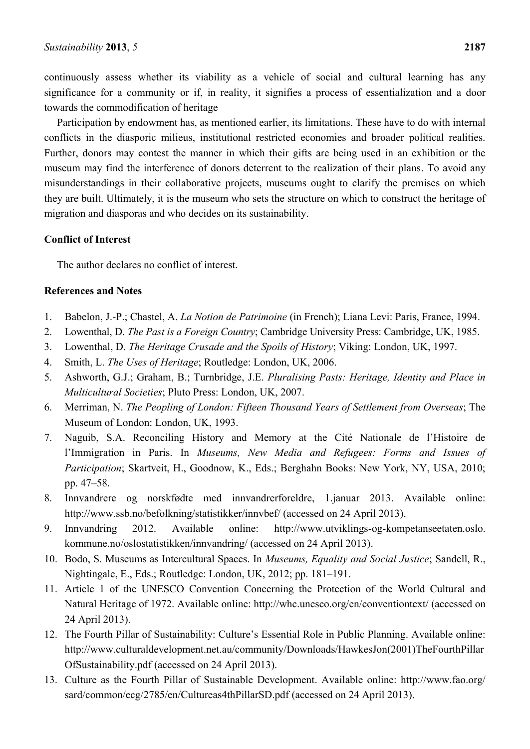continuously assess whether its viability as a vehicle of social and cultural learning has any significance for a community or if, in reality, it signifies a process of essentialization and a door towards the commodification of heritage

Participation by endowment has, as mentioned earlier, its limitations. These have to do with internal conflicts in the diasporic milieus, institutional restricted economies and broader political realities. Further, donors may contest the manner in which their gifts are being used in an exhibition or the museum may find the interference of donors deterrent to the realization of their plans. To avoid any misunderstandings in their collaborative projects, museums ought to clarify the premises on which they are built. Ultimately, it is the museum who sets the structure on which to construct the heritage of migration and diasporas and who decides on its sustainability.

## **Conflict of Interest**

The author declares no conflict of interest.

## **References and Notes**

- 1. Babelon, J.-P.; Chastel, A. *La Notion de Patrimoine* (in French); Liana Levi: Paris, France, 1994.
- 2. Lowenthal, D. *The Past is a Foreign Country*; Cambridge University Press: Cambridge, UK, 1985.
- 3. Lowenthal, D. *The Heritage Crusade and the Spoils of History*; Viking: London, UK, 1997.
- 4. Smith, L. *The Uses of Heritage*; Routledge: London, UK, 2006.
- 5. Ashworth, G.J.; Graham, B.; Turnbridge, J.E. *Pluralising Pasts: Heritage, Identity and Place in Multicultural Societies*; Pluto Press: London, UK, 2007.
- 6. Merriman, N. *The Peopling of London: Fifteen Thousand Years of Settlement from Overseas*; The Museum of London: London, UK, 1993.
- 7. Naguib, S.A. Reconciling History and Memory at the Cité Nationale de l'Histoire de l'Immigration in Paris. In *Museums, New Media and Refugees: Forms and Issues of Participation*; Skartveit, H., Goodnow, K., Eds.; Berghahn Books: New York, NY, USA, 2010; pp. 47–58.
- 8. Innvandrere og norskfødte med innvandrerforeldre, 1.januar 2013. Available online: http://www.ssb.no/befolkning/statistikker/innvbef/ (accessed on 24 April 2013).
- 9. Innvandring 2012. Available online: http://www.utviklings-og-kompetanseetaten.oslo. kommune.no/oslostatistikken/innvandring/ (accessed on 24 April 2013).
- 10. Bodo, S. Museums as Intercultural Spaces. In *Museums, Equality and Social Justice*; Sandell, R., Nightingale, E., Eds.; Routledge: London, UK, 2012; pp. 181–191.
- 11. Article 1 of the UNESCO Convention Concerning the Protection of the World Cultural and Natural Heritage of 1972. Available online: http://whc.unesco.org/en/conventiontext/ (accessed on 24 April 2013).
- 12. The Fourth Pillar of Sustainability: Culture's Essential Role in Public Planning. Available online: http://www.culturaldevelopment.net.au/community/Downloads/HawkesJon(2001)TheFourthPillar OfSustainability.pdf (accessed on 24 April 2013).
- 13. Culture as the Fourth Pillar of Sustainable Development. Available online: http://www.fao.org/ sard/common/ecg/2785/en/Cultureas4thPillarSD.pdf (accessed on 24 April 2013).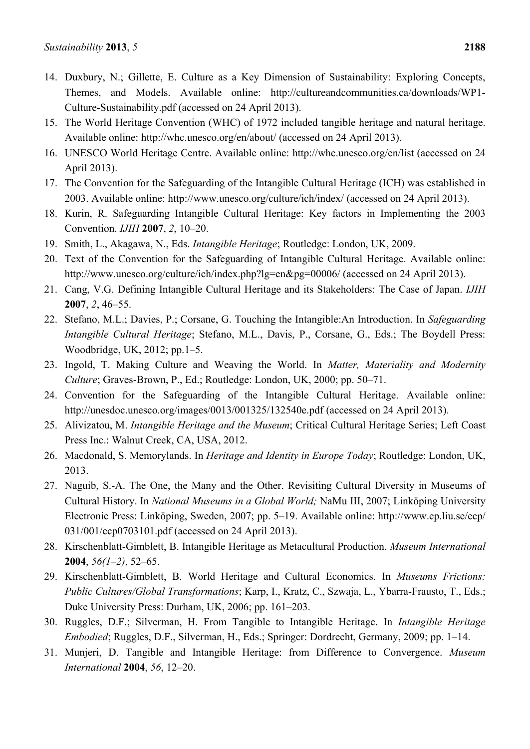- 14. Duxbury, N.; Gillette, E. Culture as a Key Dimension of Sustainability: Exploring Concepts, Themes, and Models. Available online: http://cultureandcommunities.ca/downloads/WP1- Culture-Sustainability.pdf (accessed on 24 April 2013).
- 15. The World Heritage Convention (WHC) of 1972 included tangible heritage and natural heritage. Available online:<http://whc.unesco.org/en/about/> (accessed on 24 April 2013).
- 16. UNESCO World Heritage Centre. Available online: http://whc.unesco.org/en/list (accessed on 24 April 2013).
- 17. The Convention for the Safeguarding of the Intangible Cultural Heritage (ICH) was established in 2003. Available online: [http://www.unesco.org/culture/ich/index/](http://www.unesco.org/culture/ich/index) (accessed on 24 April 2013).
- 18. Kurin, R. Safeguarding Intangible Cultural Heritage: Key factors in Implementing the 2003 Convention. *IJIH* **2007**, *2*, 10–20.
- 19. Smith, L., Akagawa, N., Eds. *Intangible Heritage*; Routledge: London, UK, 2009.
- 20. Text of the Convention for the Safeguarding of Intangible Cultural Heritage. Available online: http://www.unesco.org/culture/ich/index.php?lg=en&pg=00006/ (accessed on 24 April 2013).
- 21. Cang, V.G. Defining Intangible Cultural Heritage and its Stakeholders: The Case of Japan. *IJIH* **2007**, *2*, 46–55.
- 22. Stefano, M.L.; Davies, P.; Corsane, G. Touching the Intangible:An Introduction. In *Safeguarding Intangible Cultural Heritage*; Stefano, M.L., Davis, P., Corsane, G., Eds.; The Boydell Press: Woodbridge, UK, 2012; pp.1–5.
- 23. Ingold, T. Making Culture and Weaving the World. In *Matter, Materiality and Modernity Culture*; Graves-Brown, P., Ed.; Routledge: London, UK, 2000; pp. 50–71.
- 24. Convention for the Safeguarding of the Intangible Cultural Heritage. Available online: http://unesdoc.unesco.org/images/0013/001325/132540e.pdf (accessed on 24 April 2013).
- 25. Alivizatou, M. *Intangible Heritage and the Museum*; Critical Cultural Heritage Series; Left Coast Press Inc.: Walnut Creek, CA, USA, 2012.
- 26. Macdonald, S. Memorylands. In *Heritage and Identity in Europe Today*; Routledge: London, UK, 2013.
- 27. Naguib, S.-A. The One, the Many and the Other. Revisiting Cultural Diversity in Museums of Cultural History. In *National Museums in a Global World;* NaMu III, 2007; Linköping University Electronic Press: Linköping, Sweden, 2007; pp. 5–19. Available online: http://www.ep.liu.se/ecp/ 031/001/ecp0703101.pdf (accessed on 24 April 2013).
- 28. Kirschenblatt-Gimblett, B. Intangible Heritage as Metacultural Production. *Museum International* **2004**, *56(1–2)*, 52–65.
- 29. Kirschenblatt-Gimblett, B. World Heritage and Cultural Economics. In *Museums Frictions: Public Cultures/Global Transformations*; Karp, I., Kratz, C., Szwaja, L., Ybarra-Frausto, T., Eds.; Duke University Press: Durham, UK, 2006; pp. 161–203.
- 30. Ruggles, D.F.; Silverman, H. From Tangible to Intangible Heritage. In *Intangible Heritage Embodied*; Ruggles, D.F., Silverman, H., Eds.; Springer: Dordrecht, Germany, 2009; pp. 1–14.
- 31. Munjeri, D. Tangible and Intangible Heritage: from Difference to Convergence. *Museum International* **2004**, *56*, 12–20.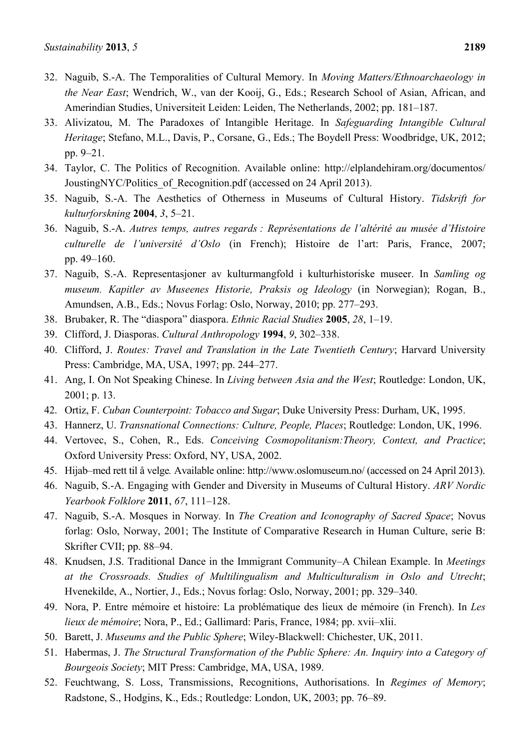- 32. Naguib, S.-A. The Temporalities of Cultural Memory. In *Moving Matters/Ethnoarchaeology in the Near East*; Wendrich, W., van der Kooij, G., Eds.; Research School of Asian, African, and Amerindian Studies, Universiteit Leiden: Leiden, The Netherlands, 2002; pp. 181–187.
- 33. Alivizatou, M. The Paradoxes of Intangible Heritage. In *Safeguarding Intangible Cultural Heritage*; Stefano, M.L., Davis, P., Corsane, G., Eds.; The Boydell Press: Woodbridge, UK, 2012; pp. 9–21.
- 34. Taylor, C. The Politics of Recognition. Available online: http://elplandehiram.org/documentos/ JoustingNYC/Politics of Recognition.pdf (accessed on 24 April 2013).
- 35. Naguib, S.-A. The Aesthetics of Otherness in Museums of Cultural History. *Tidskrift for kulturforskning* **2004**, *3*, 5–21.
- 36. Naguib, S.-A. *Autres temps, autres regards : Représentations de l'altérité au musée d'Histoire culturelle de l'université d'Oslo* (in French); Histoire de l'art: Paris, France, 2007; pp. 49–160.
- 37. Naguib, S.-A. Representasjoner av kulturmangfold i kulturhistoriske museer. In *Samling og museum. Kapitler av Museenes Historie, Praksis og Ideology* (in Norwegian); Rogan, B., Amundsen, A.B., Eds.; Novus Forlag: Oslo, Norway, 2010; pp. 277–293.
- 38. Brubaker, R. The ―diaspora‖ diaspora. *Ethnic Racial Studies* **2005**, *28*, 1–19.
- 39. Clifford, J. Diasporas. *Cultural Anthropology* **1994**, *9*, 302–338.
- 40. Clifford, J. *Routes: Travel and Translation in the Late Twentieth Century*; Harvard University Press: Cambridge, MA, USA, 1997; pp. 244–277.
- 41. Ang, I. On Not Speaking Chinese. In *Living between Asia and the West*; Routledge: London, UK, 2001; p. 13.
- 42. Ortiz, F. *Cuban Counterpoint: Tobacco and Sugar*; Duke University Press: Durham, UK, 1995.
- 43. Hannerz, U. *Transnational Connections: Culture, People, Places*; Routledge: London, UK, 1996.
- 44. Vertovec, S., Cohen, R., Eds. *Conceiving Cosmopolitanism:Theory, Context, and Practice*; Oxford University Press: Oxford, NY, USA, 2002.
- 45. Hijab–med rett til å velge*.* Available online: http://www.oslomuseum.no/ (accessed on 24 April 2013).
- 46. Naguib, S.-A. Engaging with Gender and Diversity in Museums of Cultural History. *ARV Nordic Yearbook Folklore* **2011**, *67*, 111–128.
- 47. Naguib, S.-A. Mosques in Norway*.* In *The Creation and Iconography of Sacred Space*; Novus forlag: Oslo, Norway, 2001; The Institute of Comparative Research in Human Culture, serie B: Skrifter CVII; pp. 88–94.
- 48. Knudsen, J.S. Traditional Dance in the Immigrant Community–A Chilean Example. In *Meetings at the Crossroads. Studies of Multilingualism and Multiculturalism in Oslo and Utrecht*; Hvenekilde, A., Nortier, J., Eds.; Novus forlag: Oslo, Norway, 2001; pp. 329–340.
- 49. Nora, P. Entre mémoire et histoire: La problématique des lieux de mémoire (in French). In *Les lieux de mémoire*; Nora, P., Ed.; Gallimard: Paris, France, 1984; pp. xvii–xlii.
- 50. Barett, J. *Museums and the Public Sphere*; Wiley-Blackwell: Chichester, UK, 2011.
- 51. Habermas, J. *The Structural Transformation of the Public Sphere: An. Inquiry into a Category of Bourgeois Society*; MIT Press: Cambridge, MA, USA, 1989.
- 52. Feuchtwang, S. Loss, Transmissions, Recognitions, Authorisations. In *Regimes of Memory*; Radstone, S., Hodgins, K., Eds.; Routledge: London, UK, 2003; pp. 76–89.